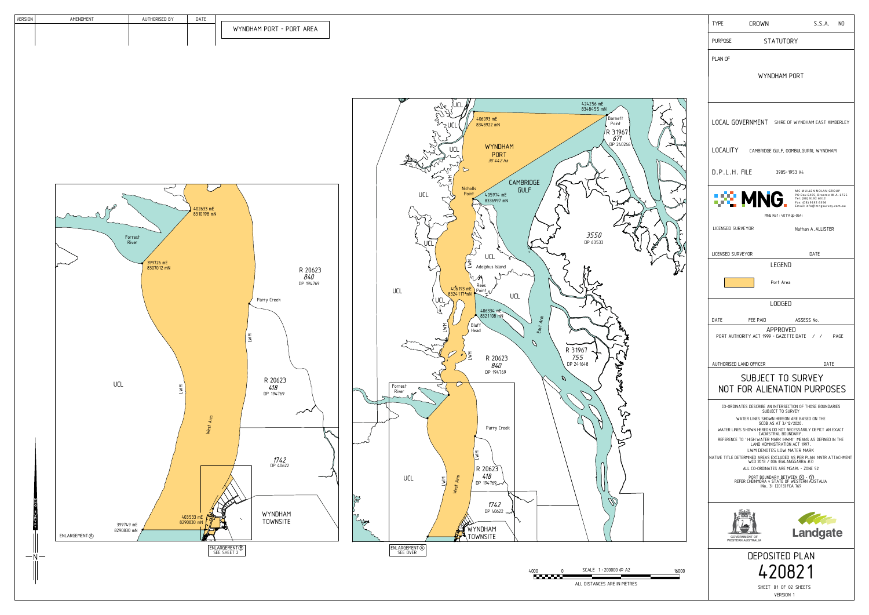